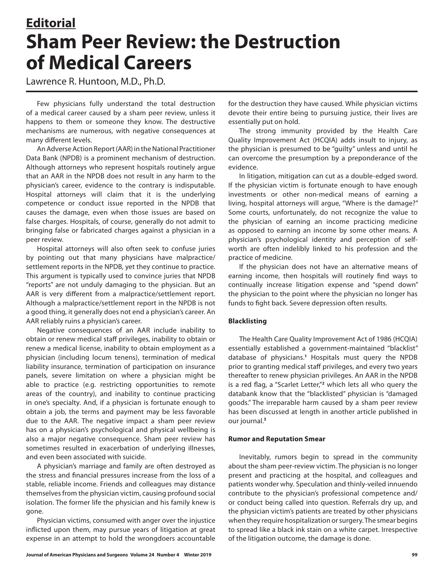# **Editorial Sham Peer Review: the Destruction of Medical Careers**

Lawrence R. Huntoon, M.D., Ph.D.

Few physicians fully understand the total destruction of a medical career caused by a sham peer review, unless it happens to them or someone they know. The destructive mechanisms are numerous, with negative consequences at many different levels.

An Adverse Action Report (AAR) in the National Practitioner Data Bank (NPDB) is a prominent mechanism of destruction. Although attorneys who represent hospitals routinely argue that an AAR in the NPDB does not result in any harm to the physician's career, evidence to the contrary is indisputable. Hospital attorneys will claim that it is the underlying competence or conduct issue reported in the NPDB that causes the damage, even when those issues are based on false charges. Hospitals, of course, generally do not admit to bringing false or fabricated charges against a physician in a peer review.

Hospital attorneys will also often seek to confuse juries by pointing out that many physicians have malpractice/ settlement reports in the NPDB, yet they continue to practice. This argument is typically used to convince juries that NPDB "reports" are not unduly damaging to the physician. But an AAR is very different from a malpractice/settlement report. Although a malpractice/settlement report in the NPDB is not a good thing, it generally does not end a physician's career. An AAR reliably ruins a physician's career.

Negative consequences of an AAR include inability to obtain or renew medical staff privileges, inability to obtain or renew a medical license, inability to obtain employment as a physician (including locum tenens), termination of medical liability insurance, termination of participation on insurance panels, severe limitation on where a physician might be able to practice (e.g. restricting opportunities to remote areas of the country), and inability to continue practicing in one's specialty. And, if a physician is fortunate enough to obtain a job, the terms and payment may be less favorable due to the AAR. The negative impact a sham peer review has on a physician's psychological and physical wellbeing is also a major negative consequence. Sham peer review has sometimes resulted in exacerbation of underlying illnesses, and even been associated with suicide.

A physician's marriage and family are often destroyed as the stress and financial pressures increase from the loss of a stable, reliable income. Friends and colleagues may distance themselves from the physician victim, causing profound social isolation. The former life the physician and his family knew is gone.

Physician victims, consumed with anger over the injustice inflicted upon them, may pursue years of litigation at great expense in an attempt to hold the wrongdoers accountable for the destruction they have caused. While physician victims devote their entire being to pursuing justice, their lives are essentially put on hold.

The strong immunity provided by the Health Care Quality Improvement Act (HCQIA) adds insult to injury, as the physician is presumed to be "guilty" unless and until he can overcome the presumption by a preponderance of the evidence.

In litigation, mitigation can cut as a double-edged sword. If the physician victim is fortunate enough to have enough investments or other non-medical means of earning a living, hospital attorneys will argue, "Where is the damage?" Some courts, unfortunately, do not recognize the value to the physician of earning an income practicing medicine as opposed to earning an income by some other means. A physician's psychological identity and perception of selfworth are often indelibly linked to his profession and the practice of medicine.

If the physician does not have an alternative means of earning income, then hospitals will routinely find ways to continually increase litigation expense and "spend down" the physician to the point where the physician no longer has funds to fight back. Severe depression often results.

## **Blacklisting**

The Health Care Quality Improvement Act of 1986 (HCQIA) essentially established a government-maintained "blacklist" database of physicians.**<sup>1</sup>** Hospitals must query the NPDB prior to granting medical staff privileges, and every two years thereafter to renew physician privileges. An AAR in the NPDB is a red flag, a "Scarlet Letter,"<sup>2</sup> which lets all who query the databank know that the "blacklisted" physician is "damaged goods." The irreparable harm caused by a sham peer review has been discussed at length in another article published in our journal.**<sup>3</sup>**

### **Rumor and Reputation Smear**

Inevitably, rumors begin to spread in the community about the sham peer-review victim. The physician is no longer present and practicing at the hospital, and colleagues and patients wonder why. Speculation and thinly-veiled innuendo contribute to the physician's professional competence and/ or conduct being called into question. Referrals dry up, and the physician victim's patients are treated by other physicians when they require hospitalization or surgery. The smear begins to spread like a black ink stain on a white carpet. Irrespective of the litigation outcome, the damage is done.